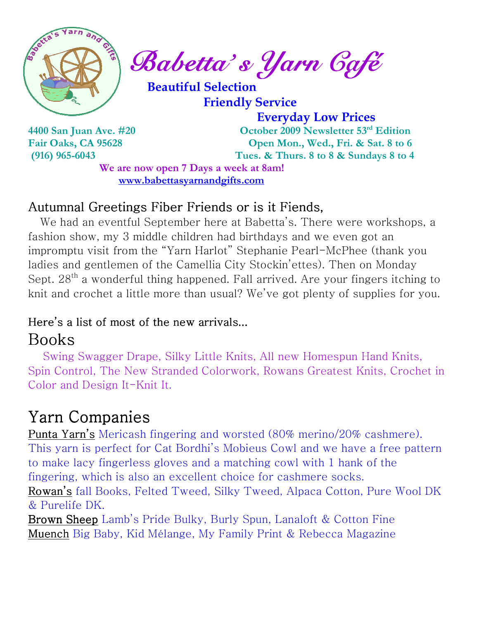

 $\int_{a}^{\infty}$  Sabetta's Yarn Gafé

 Beautiful Selection Friendly Service

 Everyday Low Prices 4400 San Juan Ave. #20 October 2009 Newsletter 53rd Edition Fair Oaks, CA 95628 Open Mon., Wed., Fri. & Sat. 8 to 6 (916) 965-6043 Tues. & Thurs. 8 to 8 & Sundays 8 to 4

We are now open 7 Days a week at 8am! www.babettasyarnandgifts.com

## Autumnal Greetings Fiber Friends or is it Fiends,

 We had an eventful September here at Babetta's. There were workshops, a fashion show, my 3 middle children had birthdays and we even got an impromptu visit from the "Yarn Harlot" Stephanie Pearl-McPhee (thank you ladies and gentlemen of the Camellia City Stockin'ettes). Then on Monday Sept.  $28<sup>th</sup>$  a wonderful thing happened. Fall arrived. Are your fingers itching to knit and crochet a little more than usual? We've got plenty of supplies for you.

## Here's a list of most of the new arrivals...

## Books

 Swing Swagger Drape, Silky Little Knits, All new Homespun Hand Knits, Spin Control, The New Stranded Colorwork, Rowans Greatest Knits, Crochet in Color and Design It-Knit It.

# Yarn Companies

Punta Yarn's Mericash fingering and worsted (80% merino/20% cashmere). This yarn is perfect for Cat Bordhi's Mobieus Cowl and we have a free pattern to make lacy fingerless gloves and a matching cowl with 1 hank of the fingering, which is also an excellent choice for cashmere socks. Rowan's fall Books, Felted Tweed, Silky Tweed, Alpaca Cotton, Pure Wool DK & Purelife DK.

Brown Sheep Lamb's Pride Bulky, Burly Spun, Lanaloft & Cotton Fine Muench Big Baby, Kid Mélange, My Family Print & Rebecca Magazine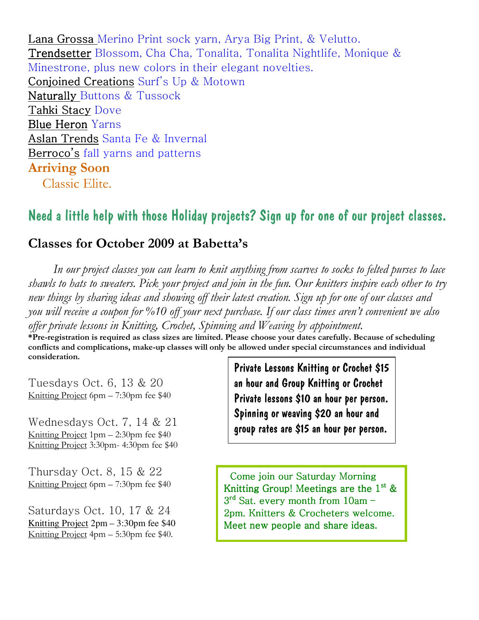Lana Grossa Merino Print sock yarn, Arya Big Print, & Velutto. Trendsetter Blossom, Cha Cha, Tonalita, Tonalita Nightlife, Monique & Minestrone, plus new colors in their elegant novelties. Conjoined Creations Surf's Up & Motown Naturally Buttons & Tussock Tahki Stacy Dove Blue Heron Yarns Aslan Trends Santa Fe & Invernal Berroco's fall yarns and patterns Arriving Soon Classic Elite.

### Need a little help with those Holiday projects? Sign up for one of our project classes.

#### Classes for October 2009 at Babetta's

 In our project classes you can learn to knit anything from scarves to socks to felted purses to lace shawls to hats to sweaters. Pick your project and join in the fun. Our knitters inspire each other to try new things by sharing ideas and showing off their latest creation. Sign up for one of our classes and you will receive a coupon for %10 off your next purchase. If our class times aren't convenient we also offer private lessons in Knitting, Crochet, Spinning and Weaving by appointment.

\*Pre-registration is required as class sizes are limited. Please choose your dates carefully. Because of scheduling conflicts and complications, make-up classes will only be allowed under special circumstances and individual consideration.

Tuesdays Oct. 6, 13 & 20 Knitting Project 6pm – 7:30pm fee \$40

Wednesdays Oct. 7, 14 & 21 Knitting Project 1pm – 2:30pm fee \$40 Knitting Project 3:30pm- 4:30pm fee \$40

Thursday Oct. 8, 15 & 22 Knitting Project 6pm – 7:30pm fee \$40

Saturdays Oct. 10, 17 & 24 Knitting Project 2pm – 3:30pm fee \$40 Knitting Project 4pm – 5:30pm fee \$40.

Private Lessons Knitting or Crochet \$15 an hour and Group Knitting or Crochet Private lessons \$10 an hour per person. Spinning or weaving \$20 an hour and group rates are \$15 an hour per person.

 Come join our Saturday Morning Knitting Group! Meetings are the  $1^{st}$  &  $3<sup>rd</sup>$  Sat. every month from 10am – 2pm. Knitters & Crocheters welcome. Meet new people and share ideas.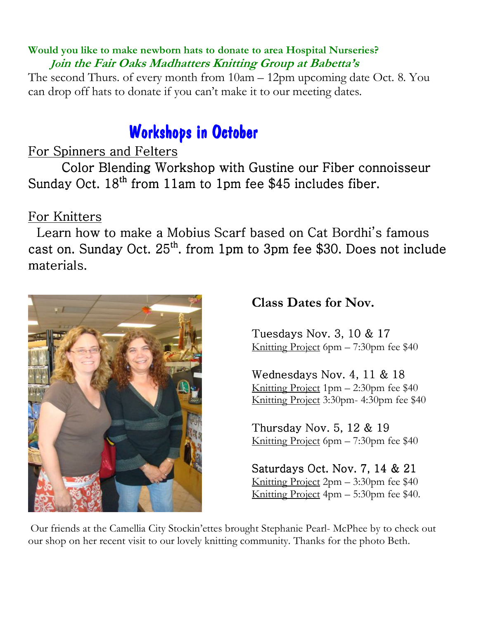#### Would you like to make newborn hats to donate to area Hospital Nurseries? Join the Fair Oaks Madhatters Knitting Group at Babetta's

The second Thurs. of every month from 10am – 12pm upcoming date Oct. 8. You can drop off hats to donate if you can't make it to our meeting dates.

## Workshops in October

### For Spinners and Felters

Color Blending Workshop with Gustine our Fiber connoisseur Sunday Oct.  $18^{th}$  from 11am to 1pm fee \$45 includes fiber.

### For Knitters

 Learn how to make a Mobius Scarf based on Cat Bordhi's famous cast on. Sunday Oct. 25<sup>th</sup>. from 1pm to 3pm fee \$30. Does not include materials.



Class Dates for Nov.

Tuesdays Nov. 3,  $10 \& 17$ Knitting Project 6pm – 7:30pm fee \$40

Wednesdays Nov. 4, 11  $&$  18 Knitting Project 1pm – 2:30pm fee \$40 Knitting Project 3:30pm- 4:30pm fee \$40

Thursday Nov. 5,  $12 \& 19$ Knitting Project 6pm – 7:30pm fee \$40

Saturdays Oct. Nov.  $7, 14 \& 21$ Knitting Project 2pm – 3:30pm fee \$40 Knitting Project 4pm – 5:30pm fee \$40.

Our friends at the Camellia City Stockin'ettes brought Stephanie Pearl- McPhee by to check out our shop on her recent visit to our lovely knitting community. Thanks for the photo Beth.